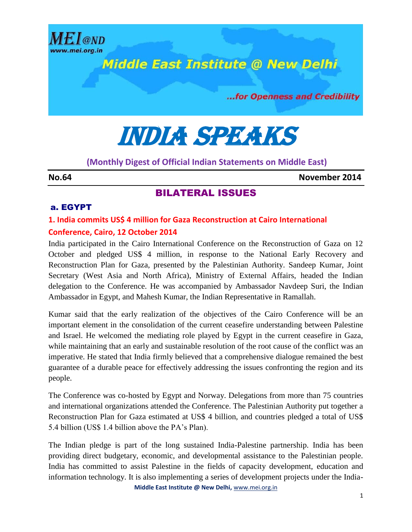

# **Middle East Institute @ New Delhi**

...for Openness and Credibility

India speaks

# **(Monthly Digest of Official Indian Statements on Middle East)**

**No.64 November 2014**

# BILATERAL ISSUES

#### a. EGYPT

# **1. India commits US\$ 4 million for Gaza Reconstruction at Cairo International Conference, Cairo, 12 October 2014**

India participated in the Cairo International Conference on the Reconstruction of Gaza on 12 October and pledged US\$ 4 million, in response to the National Early Recovery and Reconstruction Plan for Gaza, presented by the Palestinian Authority. Sandeep Kumar, Joint Secretary (West Asia and North Africa), Ministry of External Affairs, headed the Indian delegation to the Conference. He was accompanied by Ambassador Navdeep Suri, the Indian Ambassador in Egypt, and Mahesh Kumar, the Indian Representative in Ramallah.

Kumar said that the early realization of the objectives of the Cairo Conference will be an important element in the consolidation of the current ceasefire understanding between Palestine and Israel. He welcomed the mediating role played by Egypt in the current ceasefire in Gaza, while maintaining that an early and sustainable resolution of the root cause of the conflict was an imperative. He stated that India firmly believed that a comprehensive dialogue remained the best guarantee of a durable peace for effectively addressing the issues confronting the region and its people.

The Conference was co-hosted by Egypt and Norway. Delegations from more than 75 countries and international organizations attended the Conference. The Palestinian Authority put together a Reconstruction Plan for Gaza estimated at US\$ 4 billion, and countries pledged a total of US\$ 5.4 billion (US\$ 1.4 billion above the PA's Plan).

The Indian pledge is part of the long sustained India-Palestine partnership. India has been providing direct budgetary, economic, and developmental assistance to the Palestinian people. India has committed to assist Palestine in the fields of capacity development, education and information technology. It is also implementing a series of development projects under the India-

**Middle East Institute @ New Delhi,** www.mei.org.in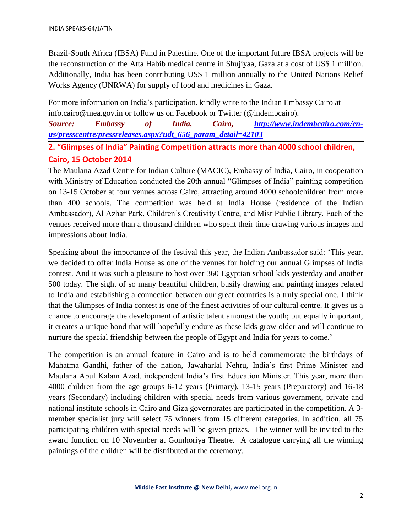Brazil-South Africa (IBSA) Fund in Palestine. One of the important future IBSA projects will be the reconstruction of the Atta Habib medical centre in Shujiyaa, Gaza at a cost of US\$ 1 million. Additionally, India has been contributing US\$ 1 million annually to the United Nations Relief Works Agency (UNRWA) for supply of food and medicines in Gaza.

For more information on India's participation, kindly write to the Indian Embassy Cairo at info.cairo@mea.gov.in or follow us on Facebook or Twitter (@indembcairo).

*Source: Embassy of India, Cairo, [http://www.indembcairo.com/en](http://www.indembcairo.com/en-us/presscentre/pressreleases.aspx?udt_656_param_detail=42103)[us/presscentre/pressreleases.aspx?udt\\_656\\_param\\_detail=42103](http://www.indembcairo.com/en-us/presscentre/pressreleases.aspx?udt_656_param_detail=42103)*

**2. "Glimpses of India" Painting Competition attracts more than 4000 school children, Cairo, 15 October 2014**

The Maulana Azad Centre for Indian Culture (MACIC), Embassy of India, Cairo, in cooperation with Ministry of Education conducted the 20th annual "Glimpses of India" painting competition on 13-15 October at four venues across Cairo, attracting around 4000 schoolchildren from more than 400 schools. The competition was held at India House (residence of the Indian Ambassador), Al Azhar Park, Children's Creativity Centre, and Misr Public Library. Each of the venues received more than a thousand children who spent their time drawing various images and impressions about India.

Speaking about the importance of the festival this year, the Indian Ambassador said: 'This year, we decided to offer India House as one of the venues for holding our annual Glimpses of India contest. And it was such a pleasure to host over 360 Egyptian school kids yesterday and another 500 today. The sight of so many beautiful children, busily drawing and painting images related to India and establishing a connection between our great countries is a truly special one. I think that the Glimpses of India contest is one of the finest activities of our cultural centre. It gives us a chance to encourage the development of artistic talent amongst the youth; but equally important, it creates a unique bond that will hopefully endure as these kids grow older and will continue to nurture the special friendship between the people of Egypt and India for years to come.'

The competition is an annual feature in Cairo and is to held commemorate the birthdays of Mahatma Gandhi, father of the nation, Jawaharlal Nehru, India's first Prime Minister and Maulana Abul Kalam Azad, independent India's first Education Minister. This year, more than 4000 children from the age groups 6-12 years (Primary), 13-15 years (Preparatory) and 16-18 years (Secondary) including children with special needs from various government, private and national institute schools in Cairo and Giza governorates are participated in the competition. A 3 member specialist jury will select 75 winners from 15 different categories. In addition, all 75 participating children with special needs will be given prizes. The winner will be invited to the award function on 10 November at Gomhoriya Theatre. A catalogue carrying all the winning paintings of the children will be distributed at the ceremony.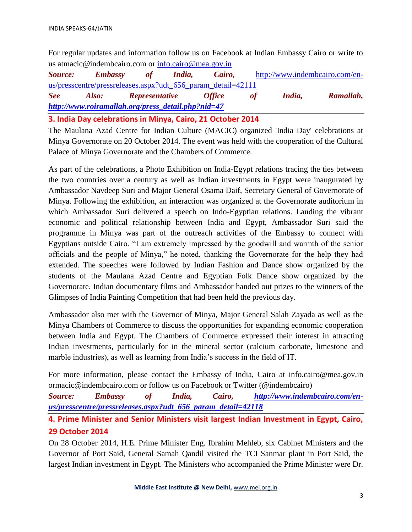For regular updates and information follow us on Facebook at Indian Embassy Cairo or write to us atmacic@indembcairo.com or [info.cairo@mea.gov.in](mailto:info.cairo@mea.gov.in)

*Source: Embassy of India, Cairo,* [http://www.indembcairo.com/en](http://www.indembcairo.com/en-us/presscentre/pressreleases.aspx?udt_656_param_detail=42111)[us/presscentre/pressreleases.aspx?udt\\_656\\_param\\_detail=42111](http://www.indembcairo.com/en-us/presscentre/pressreleases.aspx?udt_656_param_detail=42111) *See Also: Representative Office of India, Ramallah, [http://www.roiramallah.org/press\\_detail.php?nid=47](http://www.roiramallah.org/press_detail.php?nid=47)*

**3. India Day celebrations in Minya, Cairo, 21 October 2014**

The Maulana Azad Centre for Indian Culture (MACIC) organized 'India Day' celebrations at Minya Governorate on 20 October 2014. The event was held with the cooperation of the Cultural Palace of Minya Governorate and the Chambers of Commerce.

As part of the celebrations, a Photo Exhibition on India-Egypt relations tracing the ties between the two countries over a century as well as Indian investments in Egypt were inaugurated by Ambassador Navdeep Suri and Major General Osama Daif, Secretary General of Governorate of Minya. Following the exhibition, an interaction was organized at the Governorate auditorium in which Ambassador Suri delivered a speech on Indo-Egyptian relations. Lauding the vibrant economic and political relationship between India and Egypt, Ambassador Suri said the programme in Minya was part of the outreach activities of the Embassy to connect with Egyptians outside Cairo. "I am extremely impressed by the goodwill and warmth of the senior officials and the people of Minya," he noted, thanking the Governorate for the help they had extended. The speeches were followed by Indian Fashion and Dance show organized by the students of the Maulana Azad Centre and Egyptian Folk Dance show organized by the Governorate. Indian documentary films and Ambassador handed out prizes to the winners of the Glimpses of India Painting Competition that had been held the previous day.

Ambassador also met with the Governor of Minya, Major General Salah Zayada as well as the Minya Chambers of Commerce to discuss the opportunities for expanding economic cooperation between India and Egypt. The Chambers of Commerce expressed their interest in attracting Indian investments, particularly for in the mineral sector (calcium carbonate, limestone and marble industries), as well as learning from India's success in the field of IT.

For more information, please contact the Embassy of India, Cairo at info.cairo@mea.gov.in ormacic@indembcairo.com or follow us on Facebook or Twitter (@indembcairo)

*Source: Embassy of India, Cairo, [http://www.indembcairo.com/en](http://www.indembcairo.com/en-us/presscentre/pressreleases.aspx?udt_656_param_detail=42118)[us/presscentre/pressreleases.aspx?udt\\_656\\_param\\_detail=42118](http://www.indembcairo.com/en-us/presscentre/pressreleases.aspx?udt_656_param_detail=42118)*

**4. Prime Minister and Senior Ministers visit largest Indian Investment in Egypt, Cairo, 29 October 2014**

On 28 October 2014, H.E. Prime Minister Eng. Ibrahim Mehleb, six Cabinet Ministers and the Governor of Port Said, General Samah Qandil visited the TCI Sanmar plant in Port Said, the largest Indian investment in Egypt. The Ministers who accompanied the Prime Minister were Dr.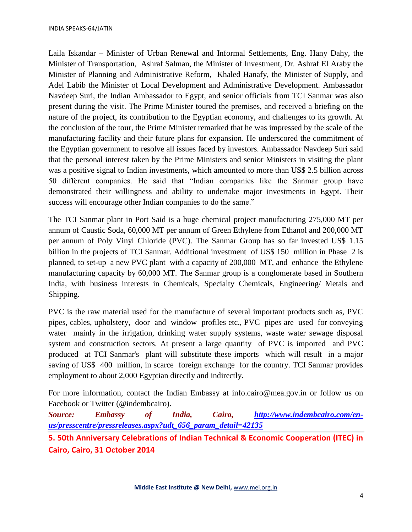Laila Iskandar – Minister of Urban Renewal and Informal Settlements, Eng. Hany Dahy, the Minister of Transportation, Ashraf Salman, the Minister of Investment, Dr. Ashraf El Araby the Minister of Planning and Administrative Reform, Khaled Hanafy, the Minister of Supply, and Adel Labib the Minister of Local Development and Administrative Development. Ambassador Navdeep Suri, the Indian Ambassador to Egypt, and senior officials from TCI Sanmar was also present during the visit. The Prime Minister toured the premises, and received a briefing on the nature of the project, its contribution to the Egyptian economy, and challenges to its growth. At the conclusion of the tour, the Prime Minister remarked that he was impressed by the scale of the manufacturing facility and their future plans for expansion. He underscored the commitment of the Egyptian government to resolve all issues faced by investors. Ambassador Navdeep Suri said that the personal interest taken by the Prime Ministers and senior Ministers in visiting the plant was a positive signal to Indian investments, which amounted to more than US\$ 2.5 billion across 50 different companies. He said that "Indian companies like the Sanmar group have demonstrated their willingness and ability to undertake major investments in Egypt. Their success will encourage other Indian companies to do the same."

The TCI Sanmar plant in Port Said is a huge chemical project manufacturing 275,000 MT per annum of Caustic Soda, 60,000 MT per annum of Green Ethylene from Ethanol and 200,000 MT per annum of Poly Vinyl Chloride (PVC). The Sanmar Group has so far invested US\$ 1.15 billion in the projects of TCI Sanmar. Additional investment of US\$ 150 million in Phase 2 is planned, to set-up a new PVC plant with a capacity of 200,000 MT, and enhance the Ethylene manufacturing capacity by 60,000 MT. The Sanmar group is a conglomerate based in Southern India, with business interests in Chemicals, Specialty Chemicals, Engineering/ Metals and Shipping.

PVC is the raw material used for the manufacture of several important products such as, PVC pipes, cables, upholstery, door and window profiles etc., PVC pipes are used for conveying water mainly in the irrigation, drinking water supply systems, waste water sewage disposal system and construction sectors. At present a large quantity of PVC is imported and PVC produced at TCI Sanmar's plant will substitute these imports which will result in a major saving of US\$ 400 million, in scarce foreign exchange for the country. TCI Sanmar provides employment to about 2,000 Egyptian directly and indirectly.

For more information, contact the Indian Embassy at info.cairo@mea.gov.in or follow us on Facebook or Twitter (@indembcairo).

*Source: Embassy of India, Cairo, [http://www.indembcairo.com/en](http://www.indembcairo.com/en-us/presscentre/pressreleases.aspx?udt_656_param_detail=42135)[us/presscentre/pressreleases.aspx?udt\\_656\\_param\\_detail=42135](http://www.indembcairo.com/en-us/presscentre/pressreleases.aspx?udt_656_param_detail=42135)*

**5. 50th Anniversary Celebrations of Indian Technical & Economic Cooperation (ITEC) in Cairo, Cairo, 31 October 2014**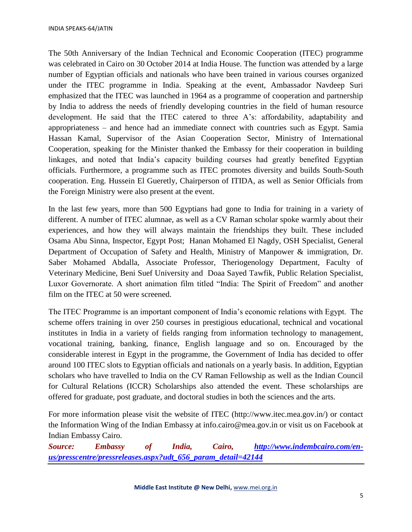The 50th Anniversary of the Indian Technical and Economic Cooperation (ITEC) programme was celebrated in Cairo on 30 October 2014 at India House. The function was attended by a large number of Egyptian officials and nationals who have been trained in various courses organized under the ITEC programme in India. Speaking at the event, Ambassador Navdeep Suri emphasized that the ITEC was launched in 1964 as a programme of cooperation and partnership by India to address the needs of friendly developing countries in the field of human resource development. He said that the ITEC catered to three A's: affordability, adaptability and appropriateness – and hence had an immediate connect with countries such as Egypt. Samia Hassan Kamal, Supervisor of the Asian Cooperation Sector, Ministry of International Cooperation, speaking for the Minister thanked the Embassy for their cooperation in building linkages, and noted that India's capacity building courses had greatly benefited Egyptian officials. Furthermore, a programme such as ITEC promotes diversity and builds South-South cooperation. Eng. Hussein El Gueretly, Chairperson of ITIDA, as well as Senior Officials from the Foreign Ministry were also present at the event.

In the last few years, more than 500 Egyptians had gone to India for training in a variety of different. A number of ITEC alumnae, as well as a CV Raman scholar spoke warmly about their experiences, and how they will always maintain the friendships they built. These included Osama Abu Sinna, Inspector, Egypt Post; Hanan Mohamed El Nagdy, OSH Specialist, General Department of Occupation of Safety and Health, Ministry of Manpower & immigration, Dr. Saber Mohamed Abdalla, Associate Professor, Theriogenology Department, Faculty of Veterinary Medicine, Beni Suef University and Doaa Sayed Tawfik, Public Relation Specialist, Luxor Governorate. A short animation film titled "India: The Spirit of Freedom" and another film on the ITEC at 50 were screened.

The ITEC Programme is an important component of India's economic relations with Egypt. The scheme offers training in over 250 courses in prestigious educational, technical and vocational institutes in India in a variety of fields ranging from information technology to management, vocational training, banking, finance, English language and so on. Encouraged by the considerable interest in Egypt in the programme, the Government of India has decided to offer around 100 ITEC slots to Egyptian officials and nationals on a yearly basis. In addition, Egyptian scholars who have travelled to India on the CV Raman Fellowship as well as the Indian Council for Cultural Relations (ICCR) Scholarships also attended the event. These scholarships are offered for graduate, post graduate, and doctoral studies in both the sciences and the arts.

For more information please visit the website of ITEC (http://www.itec.mea.gov.in/) or contact the Information Wing of the Indian Embassy at info.cairo@mea.gov.in or visit us on Facebook at Indian Embassy Cairo.

*Source: Embassy of India, Cairo, [http://www.indembcairo.com/en](http://www.indembcairo.com/en-us/presscentre/pressreleases.aspx?udt_656_param_detail=42144)[us/presscentre/pressreleases.aspx?udt\\_656\\_param\\_detail=42144](http://www.indembcairo.com/en-us/presscentre/pressreleases.aspx?udt_656_param_detail=42144)*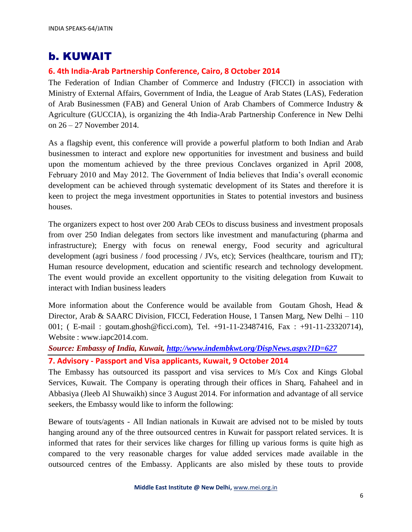# b. KUWAIT

## **6. 4th India-Arab Partnership Conference, Cairo, 8 October 2014**

The Federation of Indian Chamber of Commerce and Industry (FICCI) in association with Ministry of External Affairs, Government of India, the League of Arab States (LAS), Federation of Arab Businessmen (FAB) and General Union of Arab Chambers of Commerce Industry & Agriculture (GUCCIA), is organizing the 4th India-Arab Partnership Conference in New Delhi on 26 – 27 November 2014.

As a flagship event, this conference will provide a powerful platform to both Indian and Arab businessmen to interact and explore new opportunities for investment and business and build upon the momentum achieved by the three previous Conclaves organized in April 2008, February 2010 and May 2012. The Government of India believes that India's overall economic development can be achieved through systematic development of its States and therefore it is keen to project the mega investment opportunities in States to potential investors and business houses.

The organizers expect to host over 200 Arab CEOs to discuss business and investment proposals from over 250 Indian delegates from sectors like investment and manufacturing (pharma and infrastructure); Energy with focus on renewal energy, Food security and agricultural development (agri business / food processing / JVs, etc); Services (healthcare, tourism and IT); Human resource development, education and scientific research and technology development. The event would provide an excellent opportunity to the visiting delegation from Kuwait to interact with Indian business leaders

More information about the Conference would be available from Goutam Ghosh, Head  $\&$ Director, Arab & SAARC Division, FICCI, Federation House, 1 Tansen Marg, New Delhi – 110 001; ( E-mail : goutam.ghosh@ficci.com), Tel. +91-11-23487416, Fax : +91-11-23320714), Website : www.iapc2014.com.

*Source: Embassy of India, Kuwait,<http://www.indembkwt.org/DispNews.aspx?ID=627>*

**7. Advisory - Passport and Visa applicants, Kuwait, 9 October 2014**

The Embassy has outsourced its passport and visa services to M/s Cox and Kings Global Services, Kuwait. The Company is operating through their offices in Sharq, Fahaheel and in Abbasiya (Jleeb Al Shuwaikh) since 3 August 2014. For information and advantage of all service seekers, the Embassy would like to inform the following:

Beware of touts/agents - All Indian nationals in Kuwait are advised not to be misled by touts hanging around any of the three outsourced centres in Kuwait for passport related services. It is informed that rates for their services like charges for filling up various forms is quite high as compared to the very reasonable charges for value added services made available in the outsourced centres of the Embassy. Applicants are also misled by these touts to provide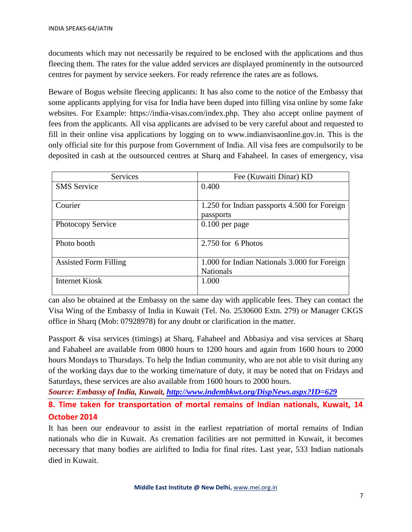documents which may not necessarily be required to be enclosed with the applications and thus fleecing them. The rates for the value added services are displayed prominently in the outsourced centres for payment by service seekers. For ready reference the rates are as follows.

Beware of Bogus website fleecing applicants: It has also come to the notice of the Embassy that some applicants applying for visa for India have been duped into filling visa online by some fake websites. For Example: https://india-visas.com/index.php. They also accept online payment of fees from the applicants. All visa applicants are advised to be very careful about and requested to fill in their online visa applications by logging on to www.indianvisaonline.gov.in. This is the only official site for this purpose from Government of India. All visa fees are compulsorily to be deposited in cash at the outsourced centres at Sharq and Fahaheel. In cases of emergency, visa

| Services                     | Fee (Kuwaiti Dinar) KD                                           |
|------------------------------|------------------------------------------------------------------|
| <b>SMS</b> Service           | 0.400                                                            |
| Courier                      | 1.250 for Indian passports 4.500 for Foreign<br>passports        |
| Photocopy Service            | $0.100$ per page                                                 |
| Photo booth                  | 2.750 for 6 Photos                                               |
| <b>Assisted Form Filling</b> | 1.000 for Indian Nationals 3.000 for Foreign<br><b>Nationals</b> |
| <b>Internet Kiosk</b>        | 1.000                                                            |

can also be obtained at the Embassy on the same day with applicable fees. They can contact the Visa Wing of the Embassy of India in Kuwait (Tel. No. 2530600 Extn. 279) or Manager CKGS office in Sharq (Mob: 07928978) for any doubt or clarification in the matter.

Passport & visa services (timings) at Sharq, Fahaheel and Abbasiya and visa services at Sharq and Fahaheel are available from 0800 hours to 1200 hours and again from 1600 hours to 2000 hours Mondays to Thursdays. To help the Indian community, who are not able to visit during any of the working days due to the working time/nature of duty, it may be noted that on Fridays and Saturdays, these services are also available from 1600 hours to 2000 hours.

*Source: Embassy of India, Kuwait,<http://www.indembkwt.org/DispNews.aspx?ID=629>*

**8. Time taken for transportation of mortal remains of Indian nationals, Kuwait, 14 October 2014**

It has been our endeavour to assist in the earliest repatriation of mortal remains of Indian nationals who die in Kuwait. As cremation facilities are not permitted in Kuwait, it becomes necessary that many bodies are airlifted to India for final rites. Last year, 533 Indian nationals died in Kuwait.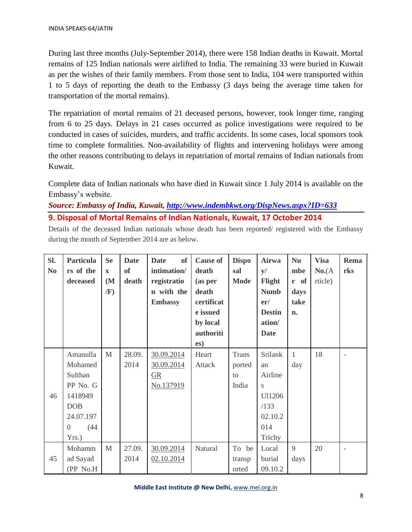During last three months (July-September 2014), there were 158 Indian deaths in Kuwait. Mortal remains of 125 Indian nationals were airlifted to India. The remaining 33 were buried in Kuwait as per the wishes of their family members. From those sent to India, 104 were transported within 1 to 5 days of reporting the death to the Embassy (3 days being the average time taken for transportation of the mortal remains).

The repatriation of mortal remains of 21 deceased persons, however, took longer time, ranging from 6 to 25 days. Delays in 21 cases occurred as police investigations were required to be conducted in cases of suicides, murders, and traffic accidents. In some cases, local sponsors took time to complete formalities. Non-availability of flights and intervening holidays were among the other reasons contributing to delays in repatriation of mortal remains of Indian nationals from Kuwait.

Complete data of Indian nationals who have died in Kuwait since 1 July 2014 is available on the Embassy's website.

*Source: Embassy of India, Kuwait,<http://www.indembkwt.org/DispNews.aspx?ID=633>* **9. Disposal of Mortal Remains of Indian Nationals, Kuwait, 17 October 2014** 

Details of the deceased Indian nationals whose death has been reported/ registered with the Embassy during the month of September 2014 are as below.

| Sl.<br>N <sub>0</sub> | <b>Particula</b><br>rs of the<br>deceased                                                                           | <b>Se</b><br>$\mathbf{x}$<br>(M <sup>2</sup> )<br>/F) | <b>Date</b><br><b>of</b><br>death | of<br><b>Date</b><br>intimation/<br>registratio<br>n with the<br><b>Embassy</b> | <b>Cause of</b><br>death<br>(as per<br>death<br>certificat<br>e issued<br>by local<br>authoriti<br>es) | <b>Dispo</b><br>sal<br><b>Mode</b> | Airwa<br>y/<br>Flight<br><b>Numb</b><br>er/<br><b>Destin</b><br>ation/<br><b>Date</b> | <b>Nu</b><br>mbe<br>r of<br>days<br>take<br>n. | <b>Visa</b><br>No.(A)<br>rticle) | Rema<br>rks |
|-----------------------|---------------------------------------------------------------------------------------------------------------------|-------------------------------------------------------|-----------------------------------|---------------------------------------------------------------------------------|--------------------------------------------------------------------------------------------------------|------------------------------------|---------------------------------------------------------------------------------------|------------------------------------------------|----------------------------------|-------------|
| 46                    | Amanulla<br>Mohamed<br>Sulthan<br>PP No. G<br>1418949<br><b>DOB</b><br>24.07.197<br>(44)<br>$\overline{0}$<br>Yrs.) | $\mathbf{M}$                                          | 28.09.<br>2014                    | 30.09.2014<br>30.09.2014<br>$\underline{\text{GR}}$<br>No.137919                | Heart<br>Attack                                                                                        | Trans<br>ported<br>to<br>India     | <b>Srilank</b><br>an<br>Airline<br>S<br>Ul1206<br>/133<br>02.10.2<br>014<br>Trichy    | $\mathbf{1}$<br>day                            | 18                               |             |
| 45                    | Mohamm<br>ad Sayad<br>(PP No.H                                                                                      | $\mathbf{M}$                                          | 27.09.<br>2014                    | 30.09.2014<br>02.10.2014                                                        | Natural                                                                                                | To be<br>transp<br>orted           | Local<br>burial<br>09.10.2                                                            | 9<br>days                                      | 20                               |             |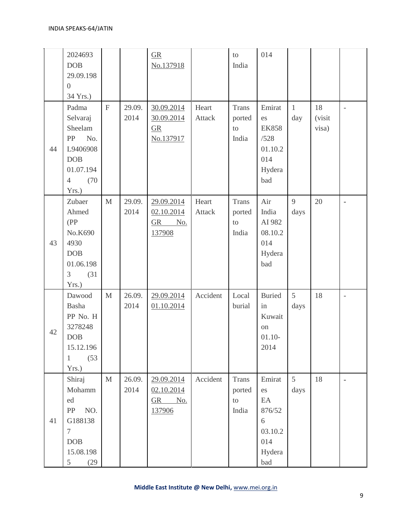|    | 2024693<br><b>DOB</b><br>29.09.198<br>$\overline{0}$<br>34 Yrs.)                                             |                |                | $\underline{\text{GR}}$<br>No.137918                             |                        | to<br>India                           | 014                                                                      |                         |                       |                   |
|----|--------------------------------------------------------------------------------------------------------------|----------------|----------------|------------------------------------------------------------------|------------------------|---------------------------------------|--------------------------------------------------------------------------|-------------------------|-----------------------|-------------------|
| 44 | Padma<br>Selvaraj<br>Sheelam<br>PP<br>No.<br>L9406908<br>DOB<br>01.07.194<br>(70)<br>$\overline{4}$<br>Yrs.) | $\overline{F}$ | 29.09.<br>2014 | 30.09.2014<br>30.09.2014<br>$\underline{\text{GR}}$<br>No.137917 | Heart<br><b>Attack</b> | <b>Trans</b><br>ported<br>to<br>India | Emirat<br>es<br><b>EK858</b><br>/528<br>01.10.2<br>014<br>Hydera<br>bad  | $\mathbf{1}$<br>day     | 18<br>(visit<br>visa) | $\bar{a}$         |
| 43 | Zubaer<br>Ahmed<br>(PP)<br>No.K690<br>4930<br><b>DOB</b><br>01.06.198<br>3<br>(31)<br>Yrs.)                  | $\mathbf{M}$   | 29.09.<br>2014 | 29.09.2014<br>02.10.2014<br>GR No.<br>137908                     | Heart<br><b>Attack</b> | <b>Trans</b><br>ported<br>to<br>India | Air<br>India<br>AI 982<br>08.10.2<br>014<br>Hydera<br>bad                | 9<br>days               | 20                    | ×,                |
| 42 | Dawood<br>Basha<br>PP No. H<br>3278248<br><b>DOB</b><br>15.12.196<br>(53)<br>$\mathbf{1}$<br>Yrs.)           | $\mathbf{M}$   | 26.09.<br>2014 | 29.09.2014<br>01.10.2014                                         | Accident               | Local<br>burial                       | <b>Buried</b><br>in<br>Kuwait<br>on<br>$01.10-$<br>2014                  | 5<br>days               | 18                    | $\qquad \qquad -$ |
| 41 | Shiraj<br>Mohamm<br>ed<br>NO.<br>PP<br>G188138<br>$\tau$<br>DOB<br>15.08.198<br>5 <sup>5</sup><br>(29)       | $\mathbf{M}$   | 26.09.<br>2014 | 29.09.2014<br>02.10.2014<br>GR No.<br>137906                     | Accident               | <b>Trans</b><br>ported<br>to<br>India | Emirat<br>es<br>EA<br>876/52<br>$6\,$<br>03.10.2<br>014<br>Hydera<br>bad | $5\overline{)}$<br>days | 18                    | $\blacksquare$    |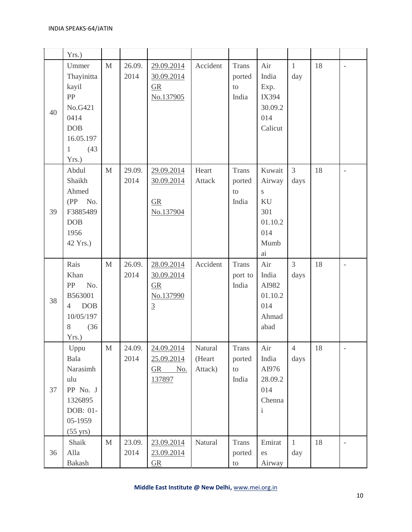|    | Yrs.                                                                                                              |              |                |                                                                                    |                              |                                               |                                                                              |                        |        |                          |
|----|-------------------------------------------------------------------------------------------------------------------|--------------|----------------|------------------------------------------------------------------------------------|------------------------------|-----------------------------------------------|------------------------------------------------------------------------------|------------------------|--------|--------------------------|
| 40 | Ummer<br>Thayinitta<br>kayil<br>PP<br>No.G421<br>0414<br><b>DOB</b><br>16.05.197<br>(43)<br>$\mathbf{1}$<br>Yrs.) | $\mathbf{M}$ | 26.09.<br>2014 | 29.09.2014<br>30.09.2014<br>$\underline{\text{GR}}$<br>No.137905                   | Accident                     | <b>Trans</b><br>ported<br>${\rm to}$<br>India | Air<br>India<br>Exp.<br>IX394<br>30.09.2<br>014<br>Calicut                   | $\mathbf{1}$<br>day    | 18     | $\overline{\phantom{a}}$ |
| 39 | Abdul<br>Shaikh<br>Ahmed<br>$(PP \tNo.$<br>F3885489<br><b>DOB</b><br>1956<br>42 Yrs.)                             | $\mathbf{M}$ | 29.09.<br>2014 | 29.09.2014<br>30.09.2014<br>GR<br>No.137904                                        | Heart<br><b>Attack</b>       | <b>Trans</b><br>ported<br>to<br>India         | Kuwait<br>Airway<br>$\mathbf S$<br>KU<br>301<br>01.10.2<br>014<br>Mumb<br>ai | $\overline{3}$<br>days | 18     | $\overline{a}$           |
| 38 | Rais<br>Khan<br>PP<br>No.<br>B563001<br><b>DOB</b><br>$\overline{4}$<br>10/05/197<br>8<br>(36)<br>Yrs.)           | M            | 26.09.<br>2014 | 28.09.2014<br>30.09.2014<br>$\underline{\text{GR}}$<br>No.137990<br>$\overline{3}$ | Accident                     | <b>Trans</b><br>port to<br>India              | Air<br>India<br>AI982<br>01.10.2<br>014<br>Ahmad<br>abad                     | $\overline{3}$<br>days | 18     | $\overline{a}$           |
| 37 | Uppu<br>Bala<br>Narasimh<br>ulu<br>PP No. J<br>1326895<br>DOB: 01-<br>05-1959<br>$(55 \text{ yrs})$               | M            | 24.09.<br>2014 | 24.09.2014<br>25.09.2014<br>$GR$ No.<br>137897                                     | Natural<br>(Heart<br>Attack) | Trans<br>ported<br>to<br>India                | Air<br>India<br>AI976<br>28.09.2<br>014<br>Chenna<br>$\mathbf{i}$            | $\overline{4}$<br>days | $18\,$ | $\overline{\phantom{a}}$ |
| 36 | Shaik<br>Alla<br>Bakash                                                                                           | $\mathbf M$  | 23.09.<br>2014 | 23.09.2014<br>23.09.2014<br>$\underline{\text{GR}}$                                | Natural                      | Trans<br>ported<br>to                         | Emirat<br>es<br>Airway                                                       | $\mathbf{1}$<br>day    | 18     | $\overline{\phantom{a}}$ |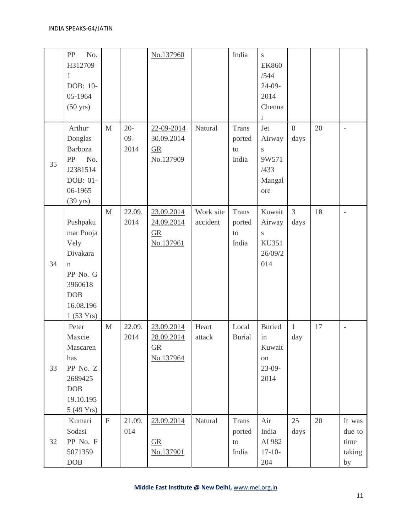|    | No.<br>PP<br>H312709<br>1<br>DOB: 10-<br>05-1964<br>$(50 \text{ yrs})$                                                  |              |                         | No.137960                                                        |                       | India                                         | ${\bf S}$<br><b>EK860</b><br>/544<br>$24-09-$<br>2014<br>Chenna<br>i |                        |    |                                          |
|----|-------------------------------------------------------------------------------------------------------------------------|--------------|-------------------------|------------------------------------------------------------------|-----------------------|-----------------------------------------------|----------------------------------------------------------------------|------------------------|----|------------------------------------------|
| 35 | Arthur<br>Donglas<br>Barboza<br>No.<br>PP<br>J2381514<br>DOB: 01-<br>06-1965<br>$(39 \text{ yrs})$                      | $\mathbf{M}$ | $20 -$<br>$09-$<br>2014 | 22-09-2014<br>30.09.2014<br>$\underline{GR}$<br>No.137909        | Natural               | <b>Trans</b><br>ported<br>to<br>India         | Jet<br>Airway<br>S<br>9W571<br>/433<br>Mangal<br>ore                 | $8\,$<br>days          | 20 | $\overline{a}$                           |
| 34 | Pushpaku<br>mar Pooja<br>Vely<br>Divakara<br>$\mathbf n$<br>PP No. G<br>3960618<br><b>DOB</b><br>16.08.196<br>1(53 Yrs) | $\mathbf{M}$ | 22.09.<br>2014          | 23.09.2014<br>24.09.2014<br>$\underline{GR}$<br>No.137961        | Work site<br>accident | <b>Trans</b><br>ported<br>to<br>India         | Kuwait<br>Airway<br>S<br><b>KU351</b><br>26/09/2<br>014              | $\overline{3}$<br>days | 18 | $\bar{a}$                                |
| 33 | Peter<br>Maxcie<br>Mascaren<br>has<br>PP No. Z<br>2689425<br><b>DOB</b><br>19.10.195<br>5 (49 Yrs)                      | $\mathbf{M}$ | 22.09.<br>2014          | 23.09.2014<br>28.09.2014<br>$\underline{\text{GR}}$<br>No.137964 | Heart<br>attack       | Local<br><b>Burial</b>                        | <b>Buried</b><br>in<br>Kuwait<br>on<br>$23-09-$<br>2014              | $\mathbf{1}$<br>day    | 17 | $\overline{\phantom{a}}$                 |
| 32 | Kumari<br>Sodasi<br>PP No. F<br>5071359<br>DOB                                                                          | $\mathbf F$  | 21.09.<br>014           | 23.09.2014<br>$\underline{GR}$<br>No.137901                      | Natural               | <b>Trans</b><br>ported<br>${\rm to}$<br>India | Air<br>India<br>AI 982<br>$17 - 10 -$<br>204                         | 25<br>days             | 20 | It was<br>due to<br>time<br>taking<br>by |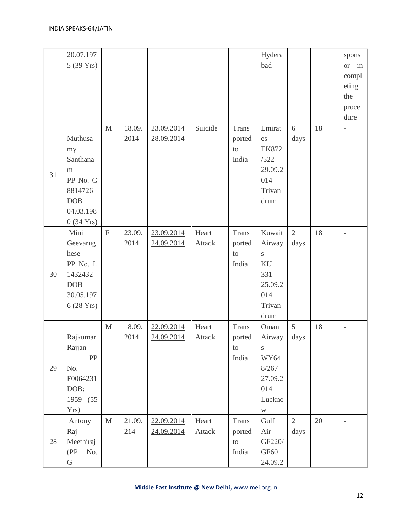|    | 20.07.197<br>5 (39 Yrs)                                                                                 |              |                |                          |                        |                                        | Hydera<br>bad                                                                               |                        |    | spons<br>in<br><b>or</b><br>compl<br>eting<br>the<br>proce<br>dure |
|----|---------------------------------------------------------------------------------------------------------|--------------|----------------|--------------------------|------------------------|----------------------------------------|---------------------------------------------------------------------------------------------|------------------------|----|--------------------------------------------------------------------|
| 31 | Muthusa<br>my<br>Santhana<br>m<br>PP No. G<br>8814726<br><b>DOB</b><br>04.03.198<br>$0(34 \text{ Yrs})$ | M            | 18.09.<br>2014 | 23.09.2014<br>28.09.2014 | Suicide                | <b>Trans</b><br>ported<br>to<br>India  | Emirat<br>es<br><b>EK872</b><br>/522<br>29.09.2<br>014<br>Trivan<br>drum                    | $6\,$<br>days          | 18 | $\overline{a}$                                                     |
| 30 | Mini<br>Geevarug<br>hese<br>PP No. L<br>1432432<br><b>DOB</b><br>30.05.197<br>6 (28 Yrs)                | $\mathbf{F}$ | 23.09.<br>2014 | 23.09.2014<br>24.09.2014 | Heart<br><b>Attack</b> | <b>Trans</b><br>ported<br>to<br>India  | Kuwait<br>Airway<br>$\mathbf S$<br>KU<br>331<br>25.09.2<br>014<br>Trivan<br>drum            | $\sqrt{2}$<br>days     | 18 | $\overline{a}$                                                     |
| 29 | Rajkumar<br>Rajjan<br>${\rm PP}$<br>No.<br>F0064231<br>DOB:<br>1959 (55)<br>Yrs)                        | $\mathbf{M}$ | 18.09.<br>2014 | 22.09.2014<br>24.09.2014 | Heart<br><b>Attack</b> | <b>Trans</b><br>ported<br>to<br>India  | Oman<br>Airway<br>S<br>WY64<br>8/267<br>27.09.2<br>014<br>Luckno<br>$\ensuremath{\text{W}}$ | 5<br>days              | 18 | $\overline{a}$                                                     |
| 28 | Antony<br>Raj<br>Meethiraj<br>(PP No.<br>${\bf G}$                                                      | $\mathbf{M}$ | 21.09.<br>214  | 22.09.2014<br>24.09.2014 | Heart<br>Attack        | Trans<br>ported<br>${\rm to}$<br>India | Gulf<br>Air<br>GF220/<br>GF60<br>24.09.2                                                    | $\overline{2}$<br>days | 20 | $\bar{a}$                                                          |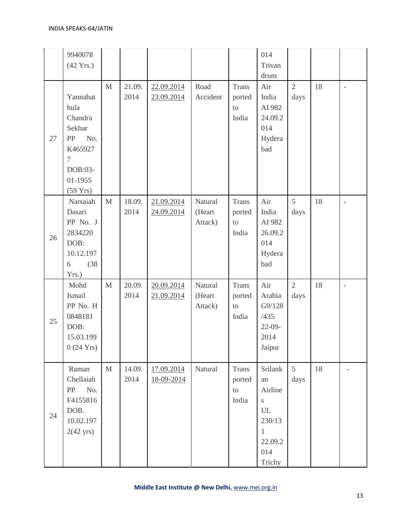|    | 9940078<br>$(42 \text{ Yrs.})$                                                                                      |             |                |                          |                              |                                               | 014<br>Trivan<br>drum                                                                                            |                         |    |                          |
|----|---------------------------------------------------------------------------------------------------------------------|-------------|----------------|--------------------------|------------------------------|-----------------------------------------------|------------------------------------------------------------------------------------------------------------------|-------------------------|----|--------------------------|
| 27 | Yannabat<br>hula<br>Chandra<br>Sekhar<br>No.<br>PP<br>K465927<br>$\tau$<br>DOB:03-<br>01-1955<br>$(59 \text{ Yrs})$ | M           | 21.09.<br>2014 | 22.09.2014<br>23.09.2014 | Road<br>Accident             | <b>Trans</b><br>ported<br>to<br>India         | Air<br>India<br>AI 982<br>24.09.2<br>014<br>Hydera<br>bad                                                        | $\sqrt{2}$<br>days      | 18 | $\overline{a}$           |
| 26 | Narsaiah<br>Dasari<br>PP No. J<br>2834220<br>DOB:<br>10.12.197<br>(38)<br>6<br>Yrs.)                                | $\mathbf M$ | 18.09.<br>2014 | 21.09.2014<br>24.09.2014 | Natural<br>(Heart<br>Attack) | <b>Trans</b><br>ported<br>to<br>India         | Air<br>India<br>AI 982<br>26.09.2<br>014<br>Hydera<br>bad                                                        | 5<br>days               | 18 | $\overline{\phantom{0}}$ |
| 25 | Mohd<br>Ismail<br>PP No. H<br>0848181<br>DOB:<br>15.03.199<br>$0(24 \text{ Yrs})$                                   | M           | 20.09.<br>2014 | 20.09.2014<br>21.09.2014 | Natural<br>(Heart<br>Attack) | <b>Trans</b><br>ported<br>to<br>India         | Air<br>Arabia<br>G9/128<br>/435<br>$22-09-$<br>2014<br>Jaipur                                                    | $\overline{2}$<br>days  | 18 | $\overline{\phantom{m}}$ |
| 24 | Raman<br>Chellaiah<br>No.<br>PP<br>F4155816<br>DOB.<br>10.02.197<br>$2(42 \text{ yrs})$                             | $\mathbf M$ | 14.09.<br>2014 | 17.09.2014<br>18-09-2014 | Natural                      | <b>Trans</b><br>ported<br>${\rm to}$<br>India | Srilank<br>an<br>Airline<br>$\mathbf S$<br>$\ensuremath{\mathrm{UL}}$<br>230/13<br>1<br>22.09.2<br>014<br>Trichy | $5\overline{)}$<br>days | 18 |                          |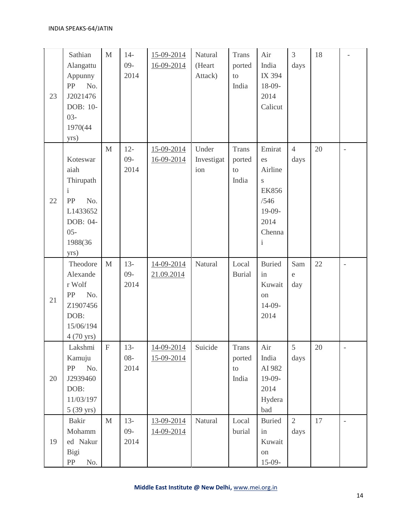| 23 | Sathian<br>Alangattu<br>Appunny<br>${\rm PP}$<br>No.<br>J2021476<br>DOB: 10-<br>$03 -$<br>1970(44<br>yrs)    | $\mathbf M$  | $14-$<br>$09-$<br>2014   | 15-09-2014<br>16-09-2014 | Natural<br>(Heart<br>Attack) | <b>Trans</b><br>ported<br>${\rm to}$<br>India | Air<br>India<br>IX 394<br>18-09-<br>2014<br>Calicut                                              | $\mathfrak{Z}$<br>days     | 18 |                          |
|----|--------------------------------------------------------------------------------------------------------------|--------------|--------------------------|--------------------------|------------------------------|-----------------------------------------------|--------------------------------------------------------------------------------------------------|----------------------------|----|--------------------------|
| 22 | Koteswar<br>aiah<br>Thirupath<br>i<br>${\rm PP}$<br>No.<br>L1433652<br>DOB: 04-<br>$05 -$<br>1988(36<br>yrs) | $\mathbf{M}$ | $12 -$<br>$09 -$<br>2014 | 15-09-2014<br>16-09-2014 | Under<br>Investigat<br>ion   | <b>Trans</b><br>ported<br>to<br>India         | Emirat<br>es<br>Airline<br>S<br><b>EK856</b><br>/546<br>19-09-<br>2014<br>Chenna<br>$\mathbf{i}$ | $\overline{4}$<br>days     | 20 | $\frac{1}{2}$            |
| 21 | Theodore<br>Alexande<br>r Wolf<br>No.<br>PP<br>Z1907456<br>DOB:<br>15/06/194<br>4 (70 yrs)                   | $\mathbf M$  | $13 -$<br>$09-$<br>2014  | 14-09-2014<br>21.09.2014 | Natural                      | Local<br><b>Burial</b>                        | <b>Buried</b><br>in<br>Kuwait<br>on<br>14-09-<br>2014                                            | Sam<br>$\mathsf{e}$<br>day | 22 | $\overline{\phantom{0}}$ |
| 20 | Lakshmi<br>Kamuju<br>PP<br>No.<br>J2939460<br>DOB:<br>11/03/197<br>$5(39 \text{ yrs})$                       | $\mathbf F$  | $13-$<br>$08 -$<br>2014  | 14-09-2014<br>15-09-2014 | Suicide                      | <b>Trans</b><br>ported<br>to<br>India         | Air<br>India<br>AI 982<br>19-09-<br>2014<br>Hydera<br>bad                                        | 5<br>days                  | 20 |                          |
| 19 | Bakir<br>Mohamm<br>ed Nakur<br>Bigi<br>PP<br>No.                                                             | $\mathbf{M}$ | $13-$<br>$09 -$<br>2014  | 13-09-2014<br>14-09-2014 | Natural                      | Local<br>burial                               | <b>Buried</b><br>in<br>Kuwait<br>on<br>$15-09-$                                                  | $\overline{2}$<br>days     | 17 | $\overline{\phantom{a}}$ |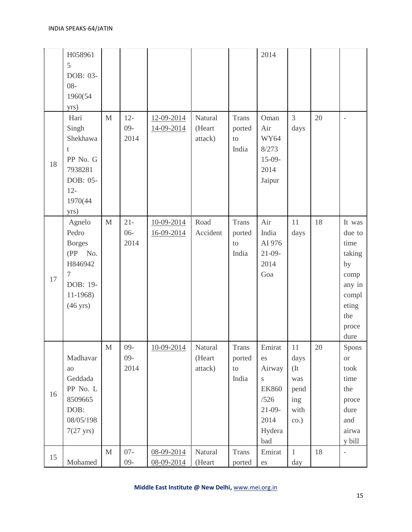|    | H058961<br>5<br>DOB: 03-<br>$08 -$<br>1960(54<br>yrs)                                                         |              |                          |                          |                              |                                       | 2014                                                                                               |                                                            |        |                                                                                                      |
|----|---------------------------------------------------------------------------------------------------------------|--------------|--------------------------|--------------------------|------------------------------|---------------------------------------|----------------------------------------------------------------------------------------------------|------------------------------------------------------------|--------|------------------------------------------------------------------------------------------------------|
| 18 | Hari<br>Singh<br>Shekhawa<br>t<br>PP No. G<br>7938281<br>DOB: 05-<br>$12 -$<br>1970(44<br>yrs)                | $\mathbf{M}$ | $12 -$<br>$09 -$<br>2014 | 12-09-2014<br>14-09-2014 | Natural<br>(Heart<br>attack) | <b>Trans</b><br>ported<br>to<br>India | Oman<br>Air<br><b>WY64</b><br>8/273<br>$15-09-$<br>2014<br>Jaipur                                  | $\overline{3}$<br>days                                     | 20     | $\frac{1}{2}$                                                                                        |
| 17 | Agnelo<br>Pedro<br><b>Borges</b><br>$(PP \tNo.$<br>H846942<br>7<br>DOB: 19-<br>11-1968)<br>$(46 \text{ yrs})$ | $\mathbf M$  | $21 -$<br>$06 -$<br>2014 | 10-09-2014<br>16-09-2014 | Road<br>Accident             | <b>Trans</b><br>ported<br>to<br>India | Air<br>India<br>AI 976<br>$21-09-$<br>2014<br>Goa                                                  | 11<br>days                                                 | 18     | It was<br>due to<br>time<br>taking<br>by<br>comp<br>any in<br>compl<br>eting<br>the<br>proce<br>dure |
| 16 | Madhavar<br>ao<br>Geddada<br>PP No. L<br>8509665<br>DOB:<br>08/05/198<br>$7(27 \text{ yrs})$                  | M            | $09 -$<br>$09-$<br>2014  | 10-09-2014               | Natural<br>(Heart<br>attack) | Trans<br>ported<br>to<br>India        | Emirat<br>es<br>Airway<br>$\mathbf S$<br><b>EK860</b><br>/526<br>$21-09-$<br>2014<br>Hydera<br>bad | 11<br>days<br>(It)<br>was<br>pend<br>ing<br>with<br>$\cos$ | $20\,$ | Spons<br><b>or</b><br>took<br>time<br>the<br>proce<br>dure<br>and<br>airwa<br>y bill                 |
| 15 | Mohamed                                                                                                       | $\mathbf{M}$ | $07 -$<br>$09 -$         | 08-09-2014<br>08-09-2014 | Natural<br>(Heart            | Trans<br>ported                       | Emirat<br>es                                                                                       | $\mathbf{1}$<br>day                                        | 18     | $\overline{\phantom{a}}$                                                                             |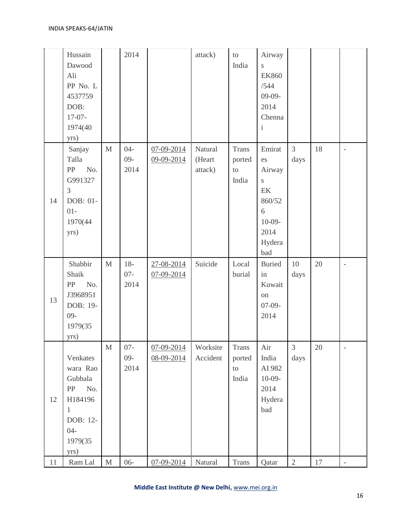|    | Hussain<br>Dawood<br>Ali<br>PP No. L<br>4537759<br>DOB:<br>$17-07-$<br>1974(40<br>yrs)                           |              | 2014                    |                                      | attack)                      | $\mathop{\mathrm{to}}$<br>India            | Airway<br>S<br><b>EK860</b><br>/544<br>$09-09-$<br>2014<br>Chenna<br>$\rm i$                   |                        |    |                          |
|----|------------------------------------------------------------------------------------------------------------------|--------------|-------------------------|--------------------------------------|------------------------------|--------------------------------------------|------------------------------------------------------------------------------------------------|------------------------|----|--------------------------|
| 14 | Sanjay<br>Talla<br>No.<br>PP<br>G991327<br>3<br>DOB: 01-<br>$01 -$<br>1970(44<br>yrs)                            | $\mathbf M$  | $04 -$<br>$09-$<br>2014 | 07-09-2014<br>09-09-2014             | Natural<br>(Heart<br>attack) | <b>Trans</b><br>ported<br>to<br>India      | Emirat<br>es<br>Airway<br>S<br>$\mbox{EK}$<br>860/52<br>6<br>$10-09-$<br>2014<br>Hydera<br>bad | $\overline{3}$<br>days | 18 | $\overline{\phantom{0}}$ |
| 13 | Shabbir<br>Shaik<br>No.<br>PP<br>J3968951<br>DOB: 19-<br>$09 -$<br>1979(35<br>yrs)                               | $\mathbf M$  | $18-$<br>$07 -$<br>2014 | 27-08-2014<br>$07 - 09 - 2014$       | Suicide                      | Local<br>burial                            | <b>Buried</b><br>in<br>Kuwait<br>on<br>$07-09-$<br>2014                                        | 10<br>days             | 20 | $\overline{a}$           |
| 12 | Venkates<br>wara Rao<br>Gubbala<br>No.<br>PP<br>H184196<br>$\mathbf{1}$<br>DOB: 12-<br>$04 -$<br>1979(35<br>yrs) | M            | $07 -$<br>$09-$<br>2014 | $07 - 09 - 2014$<br>$08 - 09 - 2014$ | Worksite<br>Accident         | Trans<br>ported<br>$\mathfrak{t}$<br>India | Air<br>India<br>AI 982<br>$10-09-$<br>2014<br>Hydera<br>bad                                    | $\mathfrak{Z}$<br>days | 20 |                          |
| 11 | Ram Lal                                                                                                          | $\mathbf{M}$ | $06 -$                  | $07 - 09 - 2014$                     | Natural                      | Trans                                      | Qatar                                                                                          | 2                      | 17 |                          |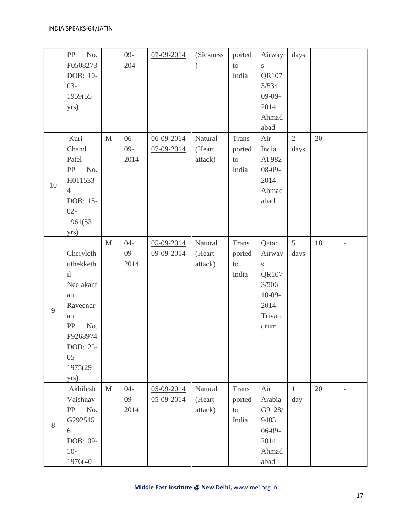|    | No.<br>PP<br>F0508273<br>DOB: 10-<br>$03 -$<br>1959(55<br>yrs)                                                                     |              | $09 -$<br>204            | 07-09-2014                     | (Sickness<br>$\mathcal{E}$   | ported<br>to<br>India                                     | Airway<br>$\mathbf S$<br>QR107<br>3/534<br>$09-09-$<br>2014<br>Ahmad<br>abad           | days                   |    |                          |
|----|------------------------------------------------------------------------------------------------------------------------------------|--------------|--------------------------|--------------------------------|------------------------------|-----------------------------------------------------------|----------------------------------------------------------------------------------------|------------------------|----|--------------------------|
| 10 | Kuri<br>Chand<br>Patel<br>No.<br>${\rm PP}$<br>H011533<br>$\overline{4}$<br>DOB: 15-<br>$02 -$<br>1961(53<br>yrs)                  | $\mathbf{M}$ | $06 -$<br>$09-$<br>2014  | $06 - 09 - 2014$<br>07-09-2014 | Natural<br>(Heart<br>attack) | <b>Trans</b><br>ported<br>$\rm{to}$<br>India              | Air<br>India<br>AI 982<br>$08-09-$<br>2014<br>Ahmad<br>abad                            | $\overline{2}$<br>days | 20 | $\overline{\phantom{a}}$ |
| 9  | Cheryleth<br>uthekketh<br>i<br>Neelakant<br>an<br>Raveendr<br>an<br>No.<br>PP<br>F9268974<br>DOB: 25-<br>$05 -$<br>1975(29<br>yrs) | $\mathbf{M}$ | $04 -$<br>$09 -$<br>2014 | 05-09-2014<br>09-09-2014       | Natural<br>(Heart<br>attack) | <b>Trans</b><br>ported<br>$\mathop{\mathrm{to}}$<br>India | Qatar<br>Airway<br>$\mathbf S$<br>QR107<br>3/506<br>$10-09-$<br>2014<br>Trivan<br>drum | 5<br>days              | 18 | $\qquad \qquad -$        |
| 8  | Akhilesh<br>Vaishnav<br>No.<br>PP<br>G292515<br>6<br>DOB: 09-<br>$10-$<br>1976(40                                                  | $\mathbf M$  | $04 -$<br>$09 -$<br>2014 | 05-09-2014<br>05-09-2014       | Natural<br>(Heart<br>attack) | <b>Trans</b><br>ported<br>$\rm{to}$<br>India              | Air<br>Arabia<br>G9128/<br>9483<br>$06-09-$<br>2014<br>Ahmad<br>abad                   | $\mathbf{1}$<br>day    | 20 |                          |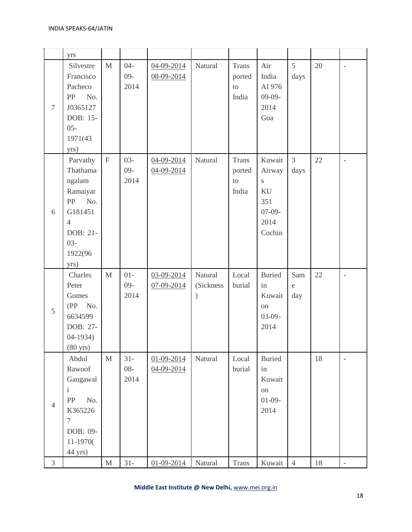|                | yrs                                                                                                                           |              |                          |                                |                                       |                                       |                                                                  |                        |        |                          |
|----------------|-------------------------------------------------------------------------------------------------------------------------------|--------------|--------------------------|--------------------------------|---------------------------------------|---------------------------------------|------------------------------------------------------------------|------------------------|--------|--------------------------|
| $\tau$         | Silvestre<br>Francisco<br>Pacheco<br>${\rm PP}$<br>No.<br>J0365127<br>DOB: 15-<br>$05 -$<br>1971(43<br>yrs)                   | $\mathbf{M}$ | $04 -$<br>$09-$<br>2014  | 04-09-2014<br>08-09-2014       | Natural                               | <b>Trans</b><br>ported<br>to<br>India | Air<br>India<br>AI 976<br>$09-09-$<br>2014<br>Goa                | 5<br>days              | 20     | $\overline{\phantom{0}}$ |
| 6              | Parvathy<br>Thathama<br>ngalam<br>Ramaiyar<br>No.<br>PP<br>G181451<br>$\overline{4}$<br>DOB: 21-<br>$03 -$<br>1922(96<br>yrs) | $\mathbf F$  | $03 -$<br>$09-$<br>2014  | 04-09-2014<br>04-09-2014       | Natural                               | <b>Trans</b><br>ported<br>to<br>India | Kuwait<br>Airway<br>S<br>KU<br>351<br>$07-09-$<br>2014<br>Cochin | $\mathfrak{Z}$<br>days | 22     | $\overline{a}$           |
| 5              | Charles<br>Peter<br>Gomes<br>$(PP \tNo.$<br>6634599<br>DOB: 27-<br>$04-1934)$<br>$(80 \text{ yrs})$                           | $\mathbf{M}$ | $01 -$<br>$09-$<br>2014  | 03-09-2014<br>07-09-2014       | Natural<br>(Sickness<br>$\mathcal{E}$ | Local<br>burial                       | <b>Buried</b><br>in<br>Kuwait<br>on<br>$03-09-$<br>2014          | Sam<br>e<br>day        | 22     | $\overline{a}$           |
| $\overline{4}$ | Abdul<br>Rawoof<br>Gangawal<br>$\mathbf{i}$<br>No.<br>PP<br>K365226<br>$\boldsymbol{7}$<br>DOB: 09-<br>11-1970(<br>44 yrs)    | $\mathbf{M}$ | $31 -$<br>$08 -$<br>2014 | $01 - 09 - 2014$<br>04-09-2014 | Natural                               | Local<br>burial                       | <b>Buried</b><br>in<br>Kuwait<br>on<br>$01-09-$<br>2014          |                        | 18     | $\overline{\phantom{m}}$ |
| 3              |                                                                                                                               | $\mathbf M$  | $31 -$                   | $01 - 09 - 2014$               | Natural                               | Trans                                 | Kuwait                                                           | $\overline{4}$         | $18\,$ | $\overline{\phantom{a}}$ |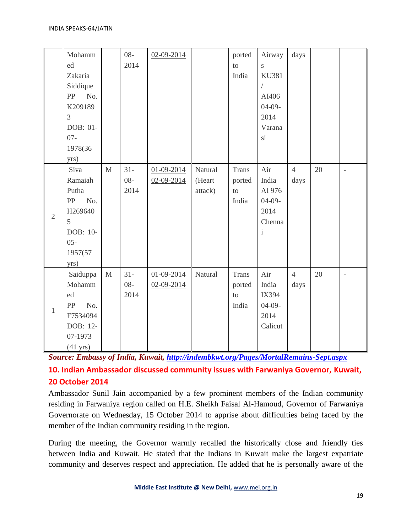|                | Mohamm<br>ed<br>Zakaria<br>Siddique<br>${\rm PP}$<br>No.<br>K209189<br>$\overline{3}$<br>DOB: 01-<br>$07 -$<br>1978(36<br>yrs) |             | $08 -$<br>2014           | 02-09-2014                           |                              | ported<br>to<br>India                 | Airway<br>S<br><b>KU381</b><br>AI406<br>$04-09-$<br>2014<br>Varana<br>si | days                   |    |                          |
|----------------|--------------------------------------------------------------------------------------------------------------------------------|-------------|--------------------------|--------------------------------------|------------------------------|---------------------------------------|--------------------------------------------------------------------------|------------------------|----|--------------------------|
| $\overline{2}$ | Siva<br>Ramaiah<br>Putha<br>${\rm PP}$<br>No.<br>H269640<br>5<br>DOB: 10-<br>$05 -$<br>1957(57<br>yrs)                         | $\mathbf M$ | $31 -$<br>$08 -$<br>2014 | $01 - 09 - 2014$<br>$02 - 09 - 2014$ | Natural<br>(Heart<br>attack) | <b>Trans</b><br>ported<br>to<br>India | Air<br>India<br>AI 976<br>$04-09-$<br>2014<br>Chenna<br>$\mathbf{i}$     | $\overline{4}$<br>days | 20 | $\overline{\phantom{a}}$ |
| $\mathbf{1}$   | Saiduppa<br>Mohamm<br>ed<br>No.<br>PP<br>F7534094<br>DOB: 12-<br>07-1973<br>$(41 \text{ yrs})$                                 | $\mathbf M$ | $31 -$<br>$08 -$<br>2014 | 01-09-2014<br>$02 - 09 - 2014$       | Natural                      | <b>Trans</b><br>ported<br>to<br>India | Air<br>India<br>IX394<br>$04-09-$<br>2014<br>Calicut                     | $\overline{4}$<br>days | 20 | $\overline{a}$           |

*Source: Embassy of India, Kuwait,<http://indembkwt.org/Pages/MortalRemains-Sept.aspx>*

**10. Indian Ambassador discussed community issues with Farwaniya Governor, Kuwait, 20 October 2014**

Ambassador Sunil Jain accompanied by a few prominent members of the Indian community residing in Farwaniya region called on H.E. Sheikh Faisal Al-Hamoud, Governor of Farwaniya Governorate on Wednesday, 15 October 2014 to apprise about difficulties being faced by the member of the Indian community residing in the region.

During the meeting, the Governor warmly recalled the historically close and friendly ties between India and Kuwait. He stated that the Indians in Kuwait make the largest expatriate community and deserves respect and appreciation. He added that he is personally aware of the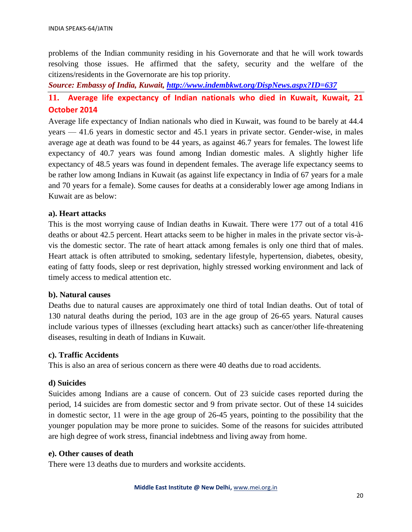problems of the Indian community residing in his Governorate and that he will work towards resolving those issues. He affirmed that the safety, security and the welfare of the citizens/residents in the Governorate are his top priority.

*Source: Embassy of India, Kuwait,<http://www.indembkwt.org/DispNews.aspx?ID=637>*

# **11. Average life expectancy of Indian nationals who died in Kuwait, Kuwait, 21 October 2014**

Average life expectancy of Indian nationals who died in Kuwait, was found to be barely at 44.4 years — 41.6 years in domestic sector and 45.1 years in private sector. Gender-wise, in males average age at death was found to be 44 years, as against 46.7 years for females. The lowest life expectancy of 40.7 years was found among Indian domestic males. A slightly higher life expectancy of 48.5 years was found in dependent females. The average life expectancy seems to be rather low among Indians in Kuwait (as against life expectancy in India of 67 years for a male and 70 years for a female). Some causes for deaths at a considerably lower age among Indians in Kuwait are as below:

#### **a). Heart attacks**

This is the most worrying cause of Indian deaths in Kuwait. There were 177 out of a total 416 deaths or about 42.5 percent. Heart attacks seem to be higher in males in the private sector vis-àvis the domestic sector. The rate of heart attack among females is only one third that of males. Heart attack is often attributed to smoking, sedentary lifestyle, hypertension, diabetes, obesity, eating of fatty foods, sleep or rest deprivation, highly stressed working environment and lack of timely access to medical attention etc.

#### **b). Natural causes**

Deaths due to natural causes are approximately one third of total Indian deaths. Out of total of 130 natural deaths during the period, 103 are in the age group of 26-65 years. Natural causes include various types of illnesses (excluding heart attacks) such as cancer/other life-threatening diseases, resulting in death of Indians in Kuwait.

#### **c). Traffic Accidents**

This is also an area of serious concern as there were 40 deaths due to road accidents.

#### **d) Suicides**

Suicides among Indians are a cause of concern. Out of 23 suicide cases reported during the period, 14 suicides are from domestic sector and 9 from private sector. Out of these 14 suicides in domestic sector, 11 were in the age group of 26-45 years, pointing to the possibility that the younger population may be more prone to suicides. Some of the reasons for suicides attributed are high degree of work stress, financial indebtness and living away from home.

#### **e). Other causes of death**

There were 13 deaths due to murders and worksite accidents.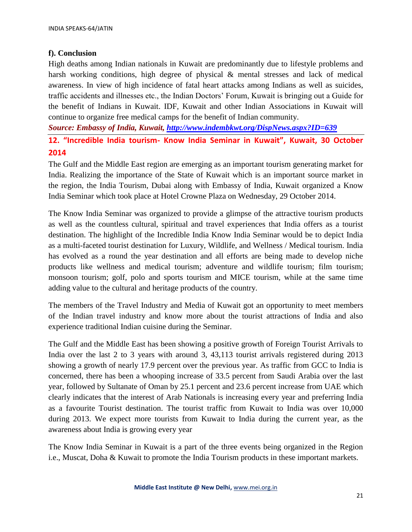### **f). Conclusion**

High deaths among Indian nationals in Kuwait are predominantly due to lifestyle problems and harsh working conditions, high degree of physical & mental stresses and lack of medical awareness. In view of high incidence of fatal heart attacks among Indians as well as suicides, traffic accidents and illnesses etc., the Indian Doctors' Forum, Kuwait is bringing out a Guide for the benefit of Indians in Kuwait. IDF, Kuwait and other Indian Associations in Kuwait will continue to organize free medical camps for the benefit of Indian community.

*Source: Embassy of India, Kuwait,<http://www.indembkwt.org/DispNews.aspx?ID=639>*

**12. "Incredible India tourism- Know India Seminar in Kuwait", Kuwait, 30 October 2014**

The Gulf and the Middle East region are emerging as an important tourism generating market for India. Realizing the importance of the State of Kuwait which is an important source market in the region, the India Tourism, Dubai along with Embassy of India, Kuwait organized a Know India Seminar which took place at Hotel Crowne Plaza on Wednesday, 29 October 2014.

The Know India Seminar was organized to provide a glimpse of the attractive tourism products as well as the countless cultural, spiritual and travel experiences that India offers as a tourist destination. The highlight of the Incredible India Know India Seminar would be to depict India as a multi-faceted tourist destination for Luxury, Wildlife, and Wellness / Medical tourism. India has evolved as a round the year destination and all efforts are being made to develop niche products like wellness and medical tourism; adventure and wildlife tourism; film tourism; monsoon tourism; golf, polo and sports tourism and MICE tourism, while at the same time adding value to the cultural and heritage products of the country.

The members of the Travel Industry and Media of Kuwait got an opportunity to meet members of the Indian travel industry and know more about the tourist attractions of India and also experience traditional Indian cuisine during the Seminar.

The Gulf and the Middle East has been showing a positive growth of Foreign Tourist Arrivals to India over the last 2 to 3 years with around 3, 43,113 tourist arrivals registered during 2013 showing a growth of nearly 17.9 percent over the previous year. As traffic from GCC to India is concerned, there has been a whooping increase of 33.5 percent from Saudi Arabia over the last year, followed by Sultanate of Oman by 25.1 percent and 23.6 percent increase from UAE which clearly indicates that the interest of Arab Nationals is increasing every year and preferring India as a favourite Tourist destination. The tourist traffic from Kuwait to India was over 10,000 during 2013. We expect more tourists from Kuwait to India during the current year, as the awareness about India is growing every year

The Know India Seminar in Kuwait is a part of the three events being organized in the Region i.e., Muscat, Doha & Kuwait to promote the India Tourism products in these important markets.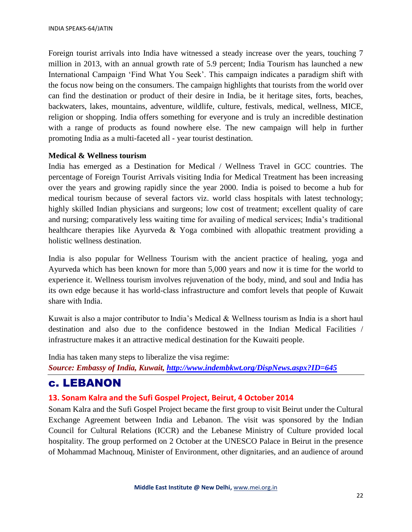Foreign tourist arrivals into India have witnessed a steady increase over the years, touching 7 million in 2013, with an annual growth rate of 5.9 percent; India Tourism has launched a new International Campaign 'Find What You Seek'. This campaign indicates a paradigm shift with the focus now being on the consumers. The campaign highlights that tourists from the world over can find the destination or product of their desire in India, be it heritage sites, forts, beaches, backwaters, lakes, mountains, adventure, wildlife, culture, festivals, medical, wellness, MICE, religion or shopping. India offers something for everyone and is truly an incredible destination with a range of products as found nowhere else. The new campaign will help in further promoting India as a multi-faceted all - year tourist destination.

#### **Medical & Wellness tourism**

India has emerged as a Destination for Medical / Wellness Travel in GCC countries. The percentage of Foreign Tourist Arrivals visiting India for Medical Treatment has been increasing over the years and growing rapidly since the year 2000. India is poised to become a hub for medical tourism because of several factors viz. world class hospitals with latest technology; highly skilled Indian physicians and surgeons; low cost of treatment; excellent quality of care and nursing; comparatively less waiting time for availing of medical services; India's traditional healthcare therapies like Ayurveda & Yoga combined with allopathic treatment providing a holistic wellness destination.

India is also popular for Wellness Tourism with the ancient practice of healing, yoga and Ayurveda which has been known for more than 5,000 years and now it is time for the world to experience it. Wellness tourism involves rejuvenation of the body, mind, and soul and India has its own edge because it has world-class infrastructure and comfort levels that people of Kuwait share with India.

Kuwait is also a major contributor to India's Medical & Wellness tourism as India is a short haul destination and also due to the confidence bestowed in the Indian Medical Facilities / infrastructure makes it an attractive medical destination for the Kuwaiti people.

India has taken many steps to liberalize the visa regime:

*Source: Embassy of India, Kuwait,<http://www.indembkwt.org/DispNews.aspx?ID=645>*

# c. LEBANON

### **13. Sonam Kalra and the Sufi Gospel Project, Beirut, 4 October 2014**

Sonam Kalra and the Sufi Gospel Project became the first group to visit Beirut under the Cultural Exchange Agreement between India and Lebanon. The visit was sponsored by the Indian Council for Cultural Relations (ICCR) and the Lebanese Ministry of Culture provided local hospitality. The group performed on 2 October at the UNESCO Palace in Beirut in the presence of Mohammad Machnouq, Minister of Environment, other dignitaries, and an audience of around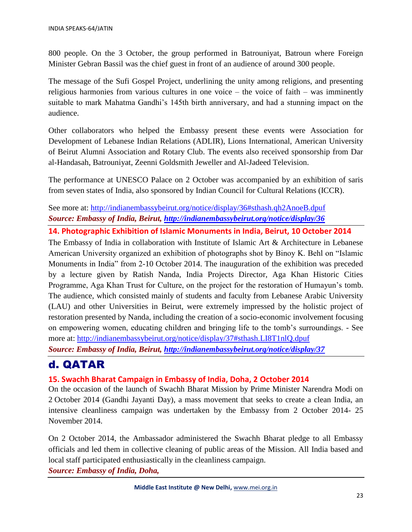800 people. On the 3 October, the group performed in Batrouniyat, Batroun where Foreign Minister Gebran Bassil was the chief guest in front of an audience of around 300 people.

The message of the Sufi Gospel Project, underlining the unity among religions, and presenting religious harmonies from various cultures in one voice – the voice of faith – was imminently suitable to mark Mahatma Gandhi's 145th birth anniversary, and had a stunning impact on the audience.

Other collaborators who helped the Embassy present these events were Association for Development of Lebanese Indian Relations (ADLIR), Lions International, American University of Beirut Alumni Association and Rotary Club. The events also received sponsorship from Dar al-Handasah, Batrouniyat, Zeenni Goldsmith Jeweller and Al-Jadeed Television.

The performance at UNESCO Palace on 2 October was accompanied by an exhibition of saris from seven states of India, also sponsored by Indian Council for Cultural Relations (ICCR).

See more at:<http://indianembassybeirut.org/notice/display/36#sthash.qh2AnoeB.dpuf> *Source: Embassy of India, Beirut,<http://indianembassybeirut.org/notice/display/36>*

**14. Photographic Exhibition of Islamic Monuments in India, Beirut, 10 October 2014** 

The Embassy of India in collaboration with Institute of Islamic Art & Architecture in Lebanese American University organized an exhibition of photographs shot by Binoy K. Behl on "Islamic Monuments in India" from 2-10 October 2014. The inauguration of the exhibition was preceded by a lecture given by Ratish Nanda, India Projects Director, Aga Khan Historic Cities Programme, Aga Khan Trust for Culture, on the project for the restoration of Humayun's tomb. The audience, which consisted mainly of students and faculty from Lebanese Arabic University (LAU) and other Universities in Beirut, were extremely impressed by the holistic project of restoration presented by Nanda, including the creation of a socio-economic involvement focusing on empowering women, educating children and bringing life to the tomb's surroundings. - See more at:<http://indianembassybeirut.org/notice/display/37#sthash.LI8T1nlQ.dpuf>

*Source: Embassy of India, Beirut,<http://indianembassybeirut.org/notice/display/37>*

# d. QATAR

### **15. Swachh Bharat Campaign in Embassy of India, Doha, 2 October 2014**

On the occasion of the launch of Swachh Bharat Mission by Prime Minister Narendra Modi on 2 October 2014 (Gandhi Jayanti Day), a mass movement that seeks to create a clean India, an intensive cleanliness campaign was undertaken by the Embassy from 2 October 2014- 25 November 2014.

On 2 October 2014, the Ambassador administered the Swachh Bharat pledge to all Embassy officials and led them in collective cleaning of public areas of the Mission. All India based and local staff participated enthusiastically in the cleanliness campaign.

*Source: Embassy of India, Doha,*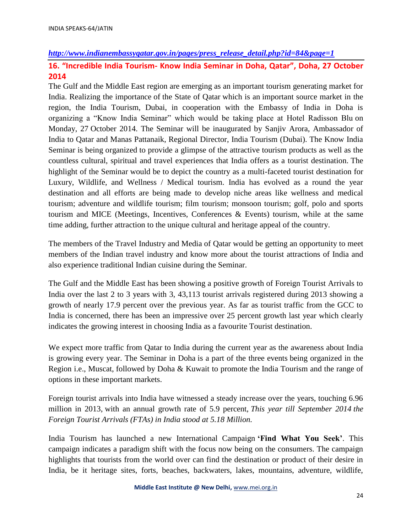#### *[http://www.indianembassyqatar.gov.in/pages/press\\_release\\_detail.php?id=84&page=1](http://www.indianembassyqatar.gov.in/pages/press_release_detail.php?id=84&page=1)*

## **16. "Incredible India Tourism- Know India Seminar in Doha, Qatar", Doha, 27 October 2014**

The Gulf and the Middle East region are emerging as an important tourism generating market for India. Realizing the importance of the State of Qatar which is an important source market in the region, the India Tourism, Dubai, in cooperation with the Embassy of India in Doha is organizing a "Know India Seminar" which would be taking place at Hotel Radisson Blu on Monday, 27 October 2014. The Seminar will be inaugurated by Sanjiv Arora, Ambassador of India to Qatar and Manas Pattanaik, Regional Director, India Tourism (Dubai). The Know India Seminar is being organized to provide a glimpse of the attractive tourism products as well as the countless cultural, spiritual and travel experiences that India offers as a tourist destination. The highlight of the Seminar would be to depict the country as a multi-faceted tourist destination for Luxury, Wildlife, and Wellness / Medical tourism. India has evolved as a round the year destination and all efforts are being made to develop niche areas like wellness and medical tourism; adventure and wildlife tourism; film tourism; monsoon tourism; golf, polo and sports tourism and MICE (Meetings, Incentives, Conferences & Events) tourism, while at the same time adding, further attraction to the unique cultural and heritage appeal of the country.

The members of the Travel Industry and Media of Qatar would be getting an opportunity to meet members of the Indian travel industry and know more about the tourist attractions of India and also experience traditional Indian cuisine during the Seminar.

The Gulf and the Middle East has been showing a positive growth of Foreign Tourist Arrivals to India over the last 2 to 3 years with 3, 43,113 tourist arrivals registered during 2013 showing a growth of nearly 17.9 percent over the previous year. As far as tourist traffic from the GCC to India is concerned, there has been an impressive over 25 percent growth last year which clearly indicates the growing interest in choosing India as a favourite Tourist destination.

We expect more traffic from Qatar to India during the current year as the awareness about India is growing every year. The Seminar in Doha is a part of the three events being organized in the Region i.e., Muscat, followed by Doha & Kuwait to promote the India Tourism and the range of options in these important markets.

Foreign tourist arrivals into India have witnessed a steady increase over the years, touching 6.96 million in 2013, with an annual growth rate of 5.9 percent, *This year till September 2014 the Foreign Tourist Arrivals (FTAs) in India stood at 5.18 Million.*

India Tourism has launched a new International Campaign **'Find What You Seek'**. This campaign indicates a paradigm shift with the focus now being on the consumers. The campaign highlights that tourists from the world over can find the destination or product of their desire in India, be it heritage sites, forts, beaches, backwaters, lakes, mountains, adventure, wildlife,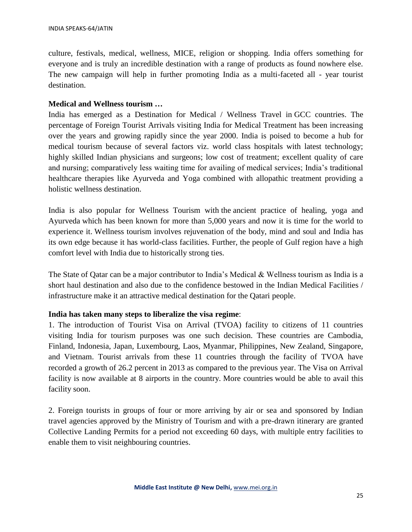culture, festivals, medical, wellness, MICE, religion or shopping. India offers something for everyone and is truly an incredible destination with a range of products as found nowhere else. The new campaign will help in further promoting India as a multi-faceted all - year tourist destination.

#### **Medical and Wellness tourism …**

India has emerged as a Destination for Medical / Wellness Travel in GCC countries. The percentage of Foreign Tourist Arrivals visiting India for Medical Treatment has been increasing over the years and growing rapidly since the year 2000. India is poised to become a hub for medical tourism because of several factors viz. world class hospitals with latest technology; highly skilled Indian physicians and surgeons; low cost of treatment; excellent quality of care and nursing; comparatively less waiting time for availing of medical services; India's traditional healthcare therapies like Ayurveda and Yoga combined with allopathic treatment providing a holistic wellness destination.

India is also popular for Wellness Tourism with the ancient practice of healing, yoga and Ayurveda which has been known for more than 5,000 years and now it is time for the world to experience it. Wellness tourism involves rejuvenation of the body, mind and soul and India has its own edge because it has world-class facilities. Further, the people of Gulf region have a high comfort level with India due to historically strong ties.

The State of Qatar can be a major contributor to India's Medical  $\&$  Wellness tourism as India is a short haul destination and also due to the confidence bestowed in the Indian Medical Facilities / infrastructure make it an attractive medical destination for the Qatari people.

#### **India has taken many steps to liberalize the visa regime**:

1. The introduction of Tourist Visa on Arrival (TVOA) facility to citizens of 11 countries visiting India for tourism purposes was one such decision. These countries are Cambodia, Finland, Indonesia, Japan, Luxembourg, Laos, Myanmar, Philippines, New Zealand, Singapore, and Vietnam. Tourist arrivals from these 11 countries through the facility of TVOA have recorded a growth of 26.2 percent in 2013 as compared to the previous year. The Visa on Arrival facility is now available at 8 airports in the country. More countries would be able to avail this facility soon.

2. Foreign tourists in groups of four or more arriving by air or sea and sponsored by Indian travel agencies approved by the Ministry of Tourism and with a pre-drawn itinerary are granted Collective Landing Permits for a period not exceeding 60 days, with multiple entry facilities to enable them to visit neighbouring countries.